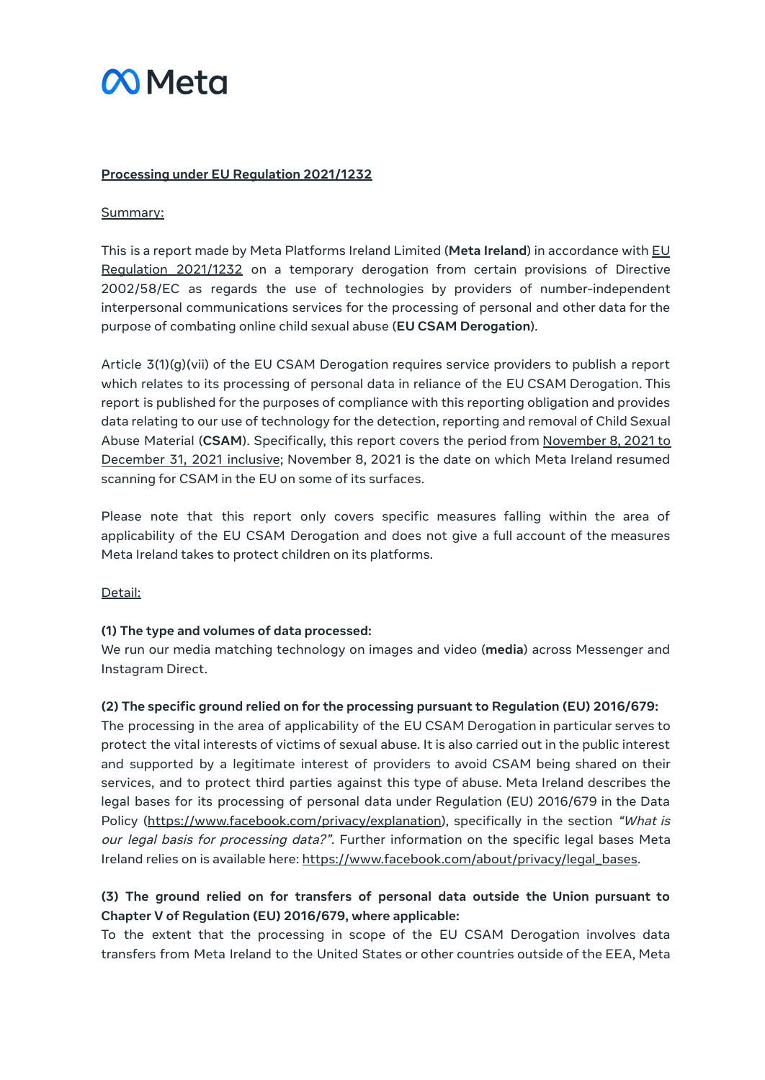# **M** Meta

#### **Processing under EU Regulation 2021/1232**

#### Summary:

This is a report made by Meta Platforms Ireland Limited (**Meta Ireland**) in accordance with [EU](https://eur-lex.europa.eu/legal-content/EN/TXT/PDF/?uri=CELEX%3A32021R1232&from=EN) [Regulation](https://eur-lex.europa.eu/legal-content/EN/TXT/PDF/?uri=CELEX%3A32021R1232&from=EN) 2021/1232 on a temporary derogation from certain provisions of Directive 2002/58/EC as regards the use of technologies by providers of number-independent interpersonal communications services for the processing of personal and other data for the purpose of combating online child sexual abuse (**EU CSAM Derogation**).

Article 3(1)(g)(vii) of the EU CSAM Derogation requires service providers to publish a report which relates to its processing of personal data in reliance of the EU CSAM Derogation. This report is published for the purposes of compliance with this reporting obligation and provides data relating to our use of technology for the detection, reporting and removal of Child Sexual Abuse Material (**CSAM**). Specifically, this report covers the period from November 8, 2021 to December 31, 2021 inclusive; November 8, 2021 is the date on which Meta Ireland resumed scanning for CSAM in the EU on some of its surfaces.

Please note that this report only covers specific measures falling within the area of applicability of the EU CSAM Derogation and does not give a full account of the measures Meta Ireland takes to protect children on its platforms.

Detail:

#### **(1) The type and volumes of data processed:**

We run our media matching technology on images and video (**media**) across Messenger and Instagram Direct.

#### **(2) The specific ground relied on for the processing pursuant to Regulation (EU) 2016/679:**

The processing in the area of applicability of the EU CSAM Derogation in particular serves to protect the vital interests of victims of sexual abuse. It is also carried out in the public interest and supported by a legitimate interest of providers to avoid CSAM being shared on their services, and to protect third parties against this type of abuse. Meta Ireland describes the legal bases for its processing of personal data under Regulation (EU) 2016/679 in the Data Policy (<https://www.facebook.com/privacy/explanation>), specifically in the section "What is our legal basis for processing data?". Further information on the specific legal bases Meta Ireland relies on is available here: [https://www.facebook.com/about/privacy/legal\\_bases.](https://www.facebook.com/about/privacy/legal_bases)

# **(3) The ground relied on for transfers of personal data outside the Union pursuant to Chapter V of Regulation (EU) 2016/679, where applicable:**

To the extent that the processing in scope of the EU CSAM Derogation involves data transfers from Meta Ireland to the United States or other countries outside of the EEA, Meta